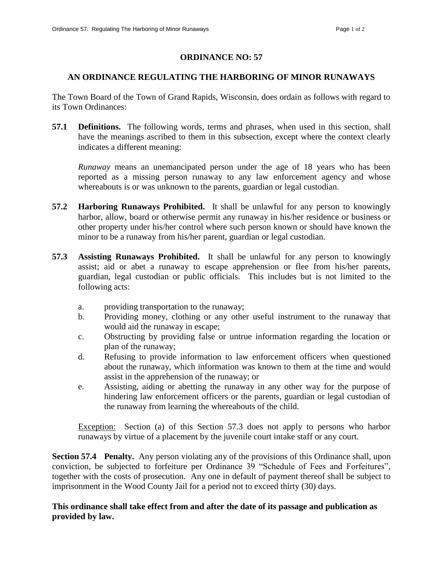## **ORDINANCE NO: 57**

## **AN ORDINANCE REGULATING THE HARBORING OF MINOR RUNAWAYS**

The Town Board of the Town of Grand Rapids, Wisconsin, does ordain as follows with regard to its Town Ordinances:

**57.1 Definitions.** The following words, terms and phrases, when used in this section, shall have the meanings ascribed to them in this subsection, except where the context clearly indicates a different meaning:

*Runaway* means an unemancipated person under the age of 18 years who has been reported as a missing person runaway to any law enforcement agency and whose whereabouts is or was unknown to the parents, guardian or legal custodian.

- **57.2 Harboring Runaways Prohibited.** It shall be unlawful for any person to knowingly harbor, allow, board or otherwise permit any runaway in his/her residence or business or other property under his/her control where such person known or should have known the minor to be a runaway from his/her parent, guardian or legal custodian.
- **57.3 Assisting Runaways Prohibited.** It shall be unlawful for any person to knowingly assist; aid or abet a runaway to escape apprehension or flee from his/her parents, guardian, legal custodian or public officials. This includes but is not limited to the following acts:
	- a. providing transportation to the runaway;
	- b. Providing money, clothing or any other useful instrument to the runaway that would aid the runaway in escape;
	- c. Obstructing by providing false or untrue information regarding the location or plan of the runaway;
	- d. Refusing to provide information to law enforcement officers when questioned about the runaway, which information was known to them at the time and would assist in the apprehension of the runaway; or
	- e. Assisting, aiding or abetting the runaway in any other way for the purpose of hindering law enforcement officers or the parents, guardian or legal custodian of the runaway from learning the whereabouts of the child.

Exception: Section (a) of this Section 57.3 does not apply to persons who harbor runaways by virtue of a placement by the juvenile court intake staff or any court.

**Section 57.4 Penalty.** Any person violating any of the provisions of this Ordinance shall, upon conviction, be subjected to forfeiture per Ordinance 39 "Schedule of Fees and Forfeitures", together with the costs of prosecution. Any one in default of payment thereof shall be subject to imprisonment in the Wood County Jail for a period not to exceed thirty (30) days.

## **This ordinance shall take effect from and after the date of its passage and publication as provided by law.**